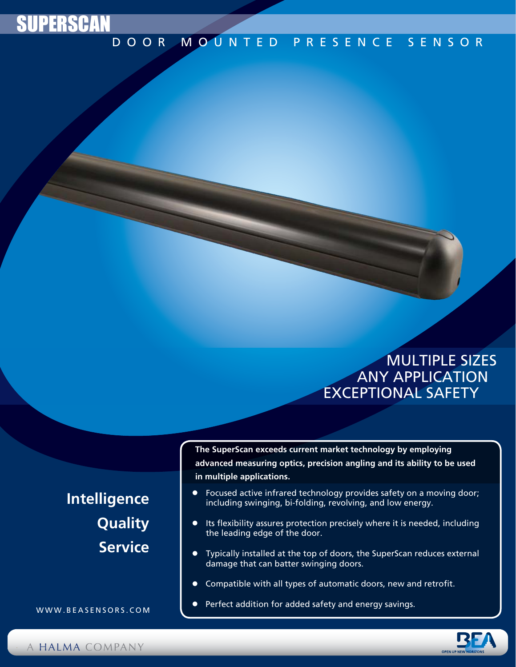

### MOUNTED PRESENCE SENSOR

### any application exceptional safety multiple sizes

## **Intelligence Quality Service**

WWW.B E A SENSORS . COM

**The SuperScan exceeds current market technology by employing advanced measuring optics, precision angling and its ability to be used in multiple applications.** 

- Focused active infrared technology provides safety on a moving door; including swinging, bi-folding, revolving, and low energy.
- **•** Its flexibility assures protection precisely where it is needed, including the leading edge of the door.
- Typically installed at the top of doors, the SuperScan reduces external damage that can batter swinging doors.
- Compatible with all types of automatic doors, new and retrofit.
- **•** Perfect addition for added safety and energy savings.